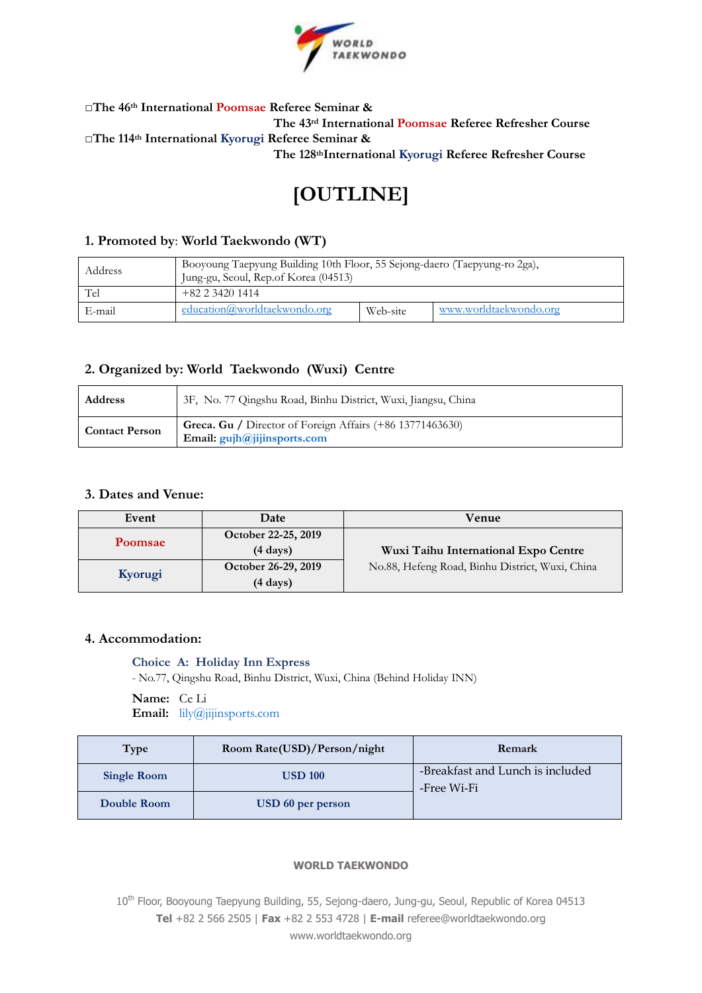

# **□The 46th International Poomsae Referee Seminar & The 43rd International Poomsae Referee Refresher Course □The 114th International Kyorugi Referee Seminar & The 128thInternational Kyorugi Referee Refresher Course**

# **[OUTLINE]**

# **1. Promoted by**: **World Taekwondo (WT)**

| Address | Booyoung Taepyung Building 10th Floor, 55 Sejong-daero (Taepyung-ro 2ga),<br>Jung-gu, Seoul, Rep.of Korea (04513) |          |                        |
|---------|-------------------------------------------------------------------------------------------------------------------|----------|------------------------|
| Tel     | +82 2 3420 1414                                                                                                   |          |                        |
| E-mail  | education@wordtdtakewondo.org                                                                                     | Web-site | www.worldtaekwondo.org |

# **2. Organized by: World Taekwondo (Wuxi) Centre**

| <b>Address</b>        | 3F, No. 77 Qingshu Road, Binhu District, Wuxi, Jiangsu, China                            |
|-----------------------|------------------------------------------------------------------------------------------|
| <b>Contact Person</b> | Greca. Gu / Director of Foreign Affairs (+86 13771463630)<br>Email: gujh@jijinsports.com |

# **3. Dates and Venue:**

| Event          | Date                | Venue                                           |
|----------------|---------------------|-------------------------------------------------|
| <b>Poomsae</b> | October 22-25, 2019 |                                                 |
|                | $(4 \text{ days})$  | Wuxi Taihu International Expo Centre            |
| Kyorugi        | October 26-29, 2019 | No.88, Hefeng Road, Binhu District, Wuxi, China |
|                | $(4 \text{ days})$  |                                                 |

# **4. Accommodation:**

#### **Choice A: Holiday Inn Express**

- No.77, Qingshu Road, Binhu District, Wuxi, China (Behind Holiday INN)

**Name:** Ce Li **Email:** [lily@jijinsports.com](mailto:lily@jijinsports.com)

| <b>Type</b>        | Room Rate(USD)/Person/night | Remark                                          |
|--------------------|-----------------------------|-------------------------------------------------|
| <b>Single Room</b> | <b>USD 100</b>              | -Breakfast and Lunch is included<br>-Free Wi-Fi |
| Double Room        | USD 60 per person           |                                                 |

#### **WORLD TAEKWONDO**

10<sup>th</sup> Floor, Booyoung Taepyung Building, 55, Sejong-daero, Jung-gu, Seoul, Republic of Korea 04513 **Tel** +82 2 566 2505 | **Fax** +82 2 553 4728 | **E-mail** referee@worldtaekwondo.org www.worldtaekwondo.org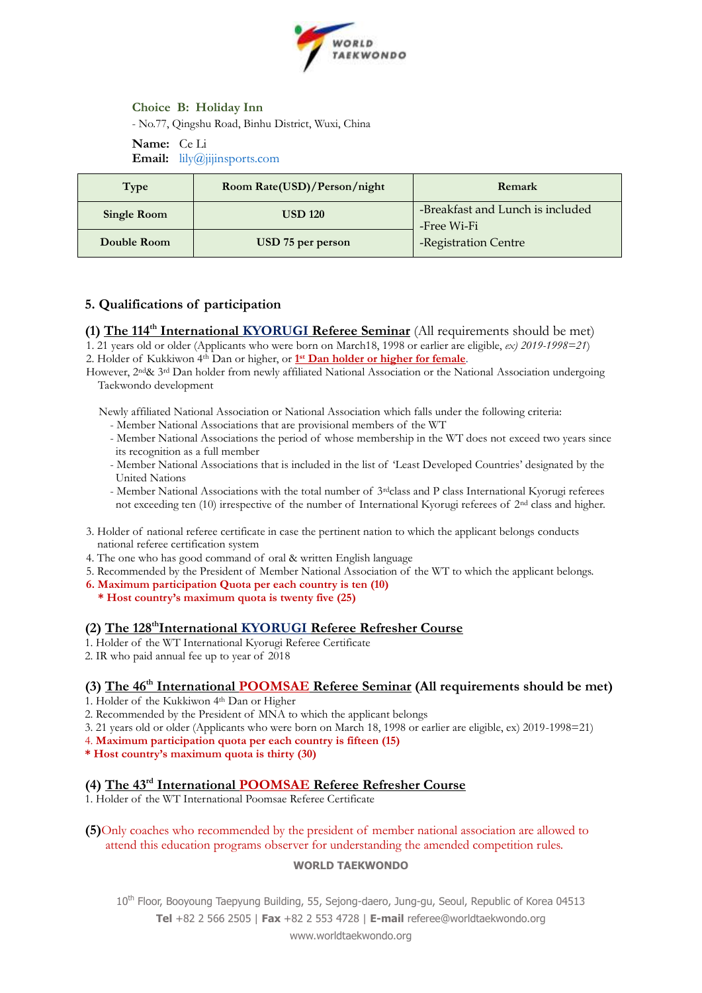

# **Choice B: Holiday Inn**

- No.77, Qingshu Road, Binhu District, Wuxi, China

#### **Name:** Ce Li **Email:** [lily@jijinsports.com](mailto:lily@jijinsports.com)

| Type               | Room Rate(USD)/Person/night | Remark                                          |
|--------------------|-----------------------------|-------------------------------------------------|
| <b>Single Room</b> | <b>USD 120</b>              | -Breakfast and Lunch is included<br>-Free Wi-Fi |
| Double Room        | USD 75 per person           | -Registration Centre                            |

# **5. Qualifications of participation**

**(1) The 114th International KYORUGI Referee Seminar** (All requirements should be met) 1. 21 years old or older (Applicants who were born on March18, 1998 or earlier are eligible, *ex) 2019-1998=21*)

2. Holder of Kukkiwon 4<sup>th</sup> Dan or higher, or 1<sup>st</sup> Dan holder or higher for female.

However, 2<sup>nd</sup>& 3<sup>rd</sup> Dan holder from newly affiliated National Association or the National Association undergoing Taekwondo development

Newly affiliated National Association or National Association which falls under the following criteria:

- Member National Associations that are provisional members of the WT

- Member National Associations the period of whose membership in the WT does not exceed two years since its recognition as a full member

- Member National Associations that is included in the list of 'Least Developed Countries' designated by the United Nations

- Member National Associations with the total number of 3rdclass and P class International Kyorugi referees not exceeding ten (10) irrespective of the number of International Kyorugi referees of 2nd class and higher.

- 3. Holder of national referee certificate in case the pertinent nation to which the applicant belongs conducts national referee certification system
- 4. The one who has good command of oral & written English language
- 5. Recommended by the President of Member National Association of the WT to which the applicant belongs.
- **6. Maximum participation Quota per each country is ten (10)**
- **\* Host country's maximum quota is twenty five (25)**

# **(2) The 128thInternational KYORUGI Referee Refresher Course**

- 1. Holder of the WT International Kyorugi Referee Certificate
- 2. IR who paid annual fee up to year of 2018

# **(3) The 46th International POOMSAE Referee Seminar (All requirements should be met)**

- 1. Holder of the Kukkiwon 4th Dan or Higher
- 2. Recommended by the President of MNA to which the applicant belongs
- 3. 21 years old or older (Applicants who were born on March 18, 1998 or earlier are eligible, ex) 2019-1998=21)

4. **Maximum participation quota per each country is fifteen (15)**

**\* Host country's maximum quota is thirty (30)**

# **(4) The 43rd International POOMSAE Referee Refresher Course**

1. Holder of the WT International Poomsae Referee Certificate

## **(5)**Only coaches who recommended by the president of member national association are allowed to attend this education programs observer for understanding the amended competition rules.

#### **WORLD TAEKWONDO**

10<sup>th</sup> Floor, Booyoung Taepyung Building, 55, Sejong-daero, Jung-gu, Seoul, Republic of Korea 04513 **Tel** +82 2 566 2505 | **Fax** +82 2 553 4728 | **E-mail** referee@worldtaekwondo.org

www.worldtaekwondo.org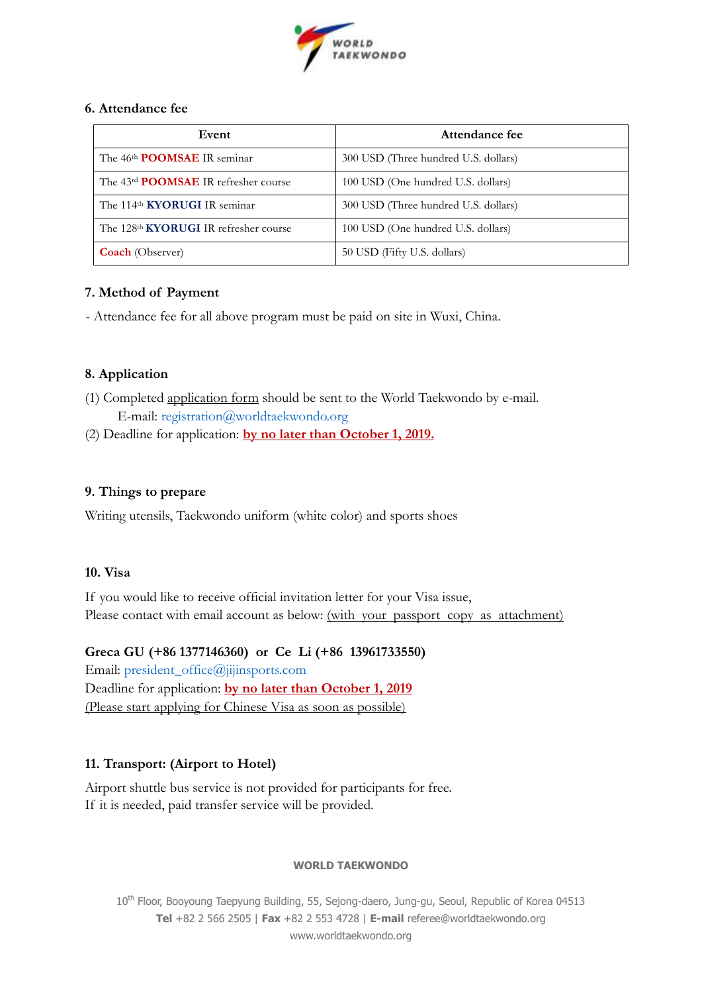

# **6. Attendance fee**

| Event                                                    | Attendance fee                       |
|----------------------------------------------------------|--------------------------------------|
| The 46 <sup>th</sup> POOMSAE IR seminar                  | 300 USD (Three hundred U.S. dollars) |
| The 43 <sup>rd</sup> <b>POOMSAE</b> IR refresher course  | 100 USD (One hundred U.S. dollars)   |
| The 114 <sup>th</sup> KYORUGI IR seminar                 | 300 USD (Three hundred U.S. dollars) |
| The 128 <sup>th</sup> <b>KYORUGI</b> IR refresher course | 100 USD (One hundred U.S. dollars)   |
| <b>Coach</b> (Observer)                                  | 50 USD (Fifty U.S. dollars)          |

# **7. Method of Payment**

- Attendance fee for all above program must be paid on site in Wuxi, China.

# **8. Application**

- (1) Completed application form should be sent to the World Taekwondo by e-mail. E-mail: [registration@worldtaekwondo.org](mailto:registration@worldtaekwondo.org)
- (2) Deadline for application: **by no later than October 1, 2019.**

# **9. Things to prepare**

Writing utensils, Taekwondo uniform (white color) and sports shoes

# **10. Visa**

If you would like to receive official invitation letter for your Visa issue, Please contact with email account as below: (with your passport copy as attachment)

# **Greca GU (+86 1377146360) or Ce Li (+86 13961733550)**

Email: [president\\_office@jijinsports.com](mailto:president_office@jijinsports.com) Deadline for application: **by no later than October 1, 2019** (Please start applying for Chinese Visa as soon as possible)

# **11. Transport: (Airport to Hotel)**

Airport shuttle bus service is not provided for participants for free. If it is needed, paid transfer service will be provided.

# **WORLD TAEKWONDO**

10<sup>th</sup> Floor, Booyoung Taepyung Building, 55, Sejong-daero, Jung-gu, Seoul, Republic of Korea 04513 **Tel** +82 2 566 2505 | **Fax** +82 2 553 4728 | **E-mail** referee@worldtaekwondo.org www.worldtaekwondo.org